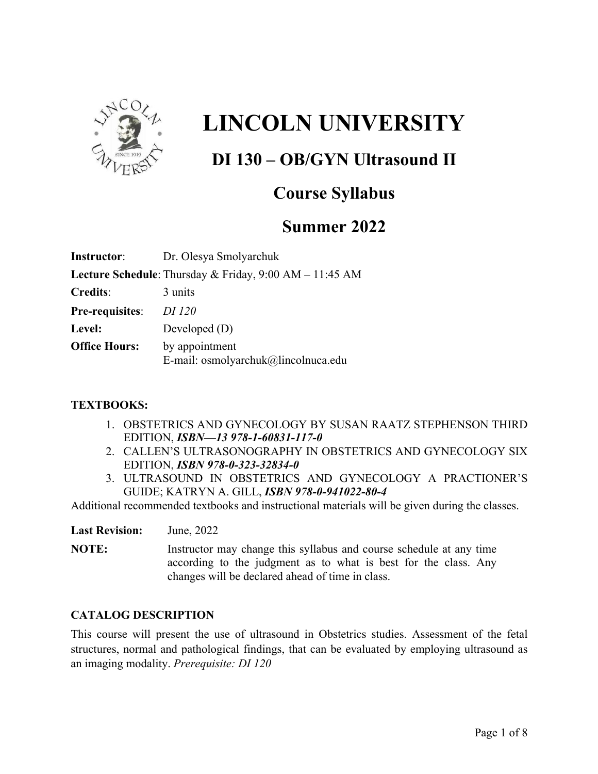

# **LINCOLN UNIVERSITY**

## **DI 130 – OB/GYN Ultrasound II**

### **Course Syllabus**

### **Summer 2022**

| <b>Instructor:</b>     | Dr. Olesya Smolyarchuk                                  |
|------------------------|---------------------------------------------------------|
|                        | Lecture Schedule: Thursday & Friday, 9:00 AM - 11:45 AM |
| <b>Credits:</b>        | 3 units                                                 |
| <b>Pre-requisites:</b> | <i>DI 120</i>                                           |
| Level:                 | Developed $(D)$                                         |
| <b>Office Hours:</b>   | by appointment<br>E-mail: osmolyarchuk@lincolnuca.edu   |

#### **TEXTBOOKS:**

- 1. OBSTETRICS AND GYNECOLOGY BY SUSAN RAATZ STEPHENSON THIRD EDITION, *ISBN—13 978-1-60831-117-0*
- 2. CALLEN'S ULTRASONOGRAPHY IN OBSTETRICS AND GYNECOLOGY SIX EDITION, *ISBN 978-0-323-32834-0*
- 3. ULTRASOUND IN OBSTETRICS AND GYNECOLOGY A PRACTIONER'S GUIDE; KATRYN A. GILL, *ISBN 978-0-941022-80-4*

Additional recommended textbooks and instructional materials will be given during the classes.

**Last Revision:** June, 2022

**NOTE:** Instructor may change this syllabus and course schedule at any time according to the judgment as to what is best for the class. Any changes will be declared ahead of time in class.

#### **CATALOG DESCRIPTION**

This course will present the use of ultrasound in Obstetrics studies. Assessment of the fetal structures, normal and pathological findings, that can be evaluated by employing ultrasound as an imaging modality. *Prerequisite: DI 120*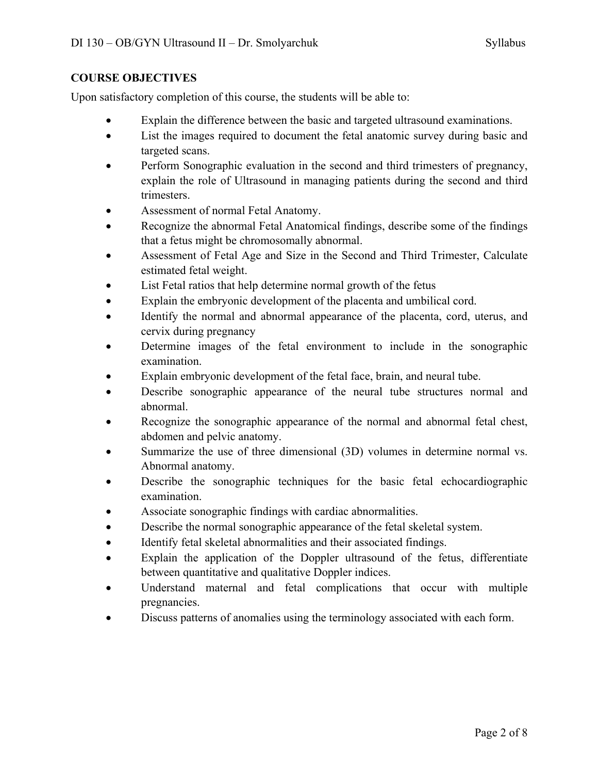#### **COURSE OBJECTIVES**

Upon satisfactory completion of this course, the students will be able to:

- Explain the difference between the basic and targeted ultrasound examinations.
- List the images required to document the fetal anatomic survey during basic and targeted scans.
- Perform Sonographic evaluation in the second and third trimesters of pregnancy, explain the role of Ultrasound in managing patients during the second and third trimesters.
- Assessment of normal Fetal Anatomy.
- Recognize the abnormal Fetal Anatomical findings, describe some of the findings that a fetus might be chromosomally abnormal.
- Assessment of Fetal Age and Size in the Second and Third Trimester, Calculate estimated fetal weight.
- List Fetal ratios that help determine normal growth of the fetus
- Explain the embryonic development of the placenta and umbilical cord.
- Identify the normal and abnormal appearance of the placenta, cord, uterus, and cervix during pregnancy
- Determine images of the fetal environment to include in the sonographic examination.
- Explain embryonic development of the fetal face, brain, and neural tube.
- Describe sonographic appearance of the neural tube structures normal and abnormal.
- Recognize the sonographic appearance of the normal and abnormal fetal chest, abdomen and pelvic anatomy.
- Summarize the use of three dimensional (3D) volumes in determine normal vs. Abnormal anatomy.
- Describe the sonographic techniques for the basic fetal echocardiographic examination.
- Associate sonographic findings with cardiac abnormalities.
- Describe the normal sonographic appearance of the fetal skeletal system.
- Identify fetal skeletal abnormalities and their associated findings.
- Explain the application of the Doppler ultrasound of the fetus, differentiate between quantitative and qualitative Doppler indices.
- Understand maternal and fetal complications that occur with multiple pregnancies.
- Discuss patterns of anomalies using the terminology associated with each form.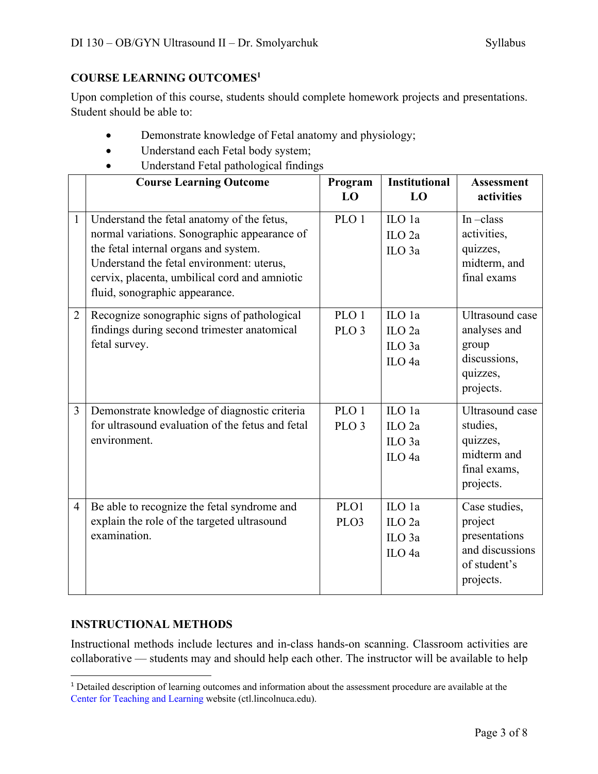#### **COURSE LEARNING OUTCOMES1**

Upon completion of this course, students should complete homework projects and presentations. Student should be able to:

- Demonstrate knowledge of Fetal anatomy and physiology;
- Understand each Fetal body system;
- Understand Fetal pathological findings

|                | <b>Course Learning Outcome</b>                   | Program<br>LO    | <b>Institutional</b><br>LO | <b>Assessment</b><br>activities |
|----------------|--------------------------------------------------|------------------|----------------------------|---------------------------------|
|                |                                                  |                  |                            |                                 |
| $\mathbf{1}$   | Understand the fetal anatomy of the fetus,       | PLO 1            | ILO 1a                     | In $-class$                     |
|                | normal variations. Sonographic appearance of     |                  | ILO <sub>2a</sub>          | activities,                     |
|                | the fetal internal organs and system.            |                  | ILO <sub>3a</sub>          | quizzes,                        |
|                | Understand the fetal environment: uterus,        |                  |                            | midterm, and                    |
|                | cervix, placenta, umbilical cord and amniotic    |                  |                            | final exams                     |
|                | fluid, sonographic appearance.                   |                  |                            |                                 |
| $\overline{2}$ | Recognize sonographic signs of pathological      | PLO <sub>1</sub> | ILO 1a                     | Ultrasound case                 |
|                | findings during second trimester anatomical      | PLO <sub>3</sub> | $\overline{L}$ O 2a        | analyses and                    |
|                | fetal survey.                                    |                  | ILO <sub>3a</sub>          | group                           |
|                |                                                  |                  | ILO <sub>4a</sub>          | discussions,                    |
|                |                                                  |                  |                            | quizzes,                        |
|                |                                                  |                  |                            | projects.                       |
| $\overline{3}$ | Demonstrate knowledge of diagnostic criteria     | PLO <sub>1</sub> | ILO 1a                     | <b>Ultrasound</b> case          |
|                | for ultrasound evaluation of the fetus and fetal | PLO <sub>3</sub> | ILO <sub>2a</sub>          | studies,                        |
|                | environment.                                     |                  | ILO <sub>3a</sub>          | quizzes,                        |
|                |                                                  |                  | ILO <sub>4a</sub>          | midterm and                     |
|                |                                                  |                  |                            | final exams,                    |
|                |                                                  |                  |                            | projects.                       |
| $\overline{4}$ | Be able to recognize the fetal syndrome and      | PLO1             | ILO 1a                     | Case studies,                   |
|                | explain the role of the targeted ultrasound      | PLO <sub>3</sub> | $\rm ILO$ 2a               | project                         |
|                | examination.                                     |                  | ILO <sub>3a</sub>          | presentations                   |
|                |                                                  |                  | ILO <sub>4a</sub>          | and discussions                 |
|                |                                                  |                  |                            | of student's                    |
|                |                                                  |                  |                            | projects.                       |

#### **INSTRUCTIONAL METHODS**

Instructional methods include lectures and in-class hands-on scanning. Classroom activities are collaborative –– students may and should help each other. The instructor will be available to help

<sup>&</sup>lt;sup>1</sup> Detailed description of learning outcomes and information about the assessment procedure are available at the Center for Teaching and Learning website (ctl.lincolnuca.edu).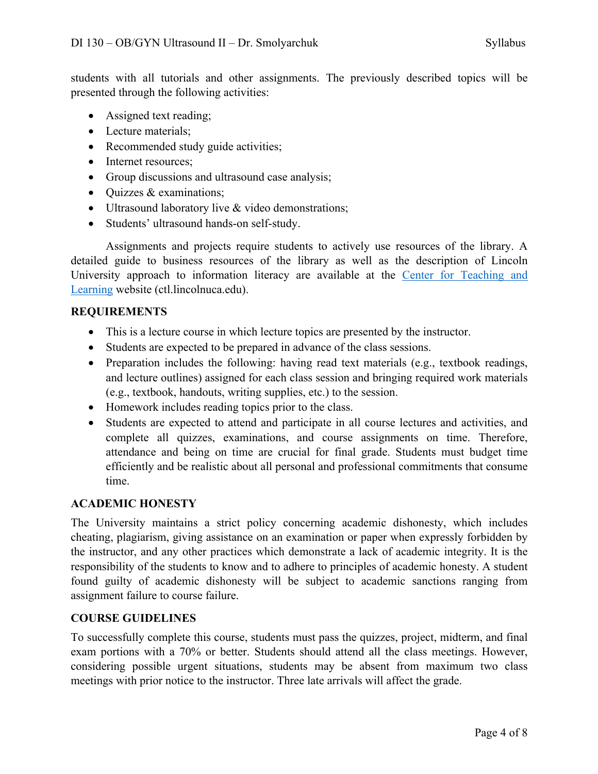students with all tutorials and other assignments. The previously described topics will be presented through the following activities:

- Assigned text reading;
- Lecture materials:
- Recommended study guide activities;
- Internet resources;
- Group discussions and ultrasound case analysis;
- Quizzes & examinations;
- Ultrasound laboratory live & video demonstrations;
- Students' ultrasound hands-on self-study.

Assignments and projects require students to actively use resources of the library. A detailed guide to business resources of the library as well as the description of Lincoln University approach to information literacy are available at the Center for Teaching and Learning website (ctl.lincolnuca.edu).

#### **REQUIREMENTS**

- This is a lecture course in which lecture topics are presented by the instructor.
- Students are expected to be prepared in advance of the class sessions.
- Preparation includes the following: having read text materials (e.g., textbook readings, and lecture outlines) assigned for each class session and bringing required work materials (e.g., textbook, handouts, writing supplies, etc.) to the session.
- Homework includes reading topics prior to the class.
- Students are expected to attend and participate in all course lectures and activities, and complete all quizzes, examinations, and course assignments on time. Therefore, attendance and being on time are crucial for final grade. Students must budget time efficiently and be realistic about all personal and professional commitments that consume time.

#### **ACADEMIC HONESTY**

The University maintains a strict policy concerning academic dishonesty, which includes cheating, plagiarism, giving assistance on an examination or paper when expressly forbidden by the instructor, and any other practices which demonstrate a lack of academic integrity. It is the responsibility of the students to know and to adhere to principles of academic honesty. A student found guilty of academic dishonesty will be subject to academic sanctions ranging from assignment failure to course failure.

#### **COURSE GUIDELINES**

To successfully complete this course, students must pass the quizzes, project, midterm, and final exam portions with a 70% or better. Students should attend all the class meetings. However, considering possible urgent situations, students may be absent from maximum two class meetings with prior notice to the instructor. Three late arrivals will affect the grade.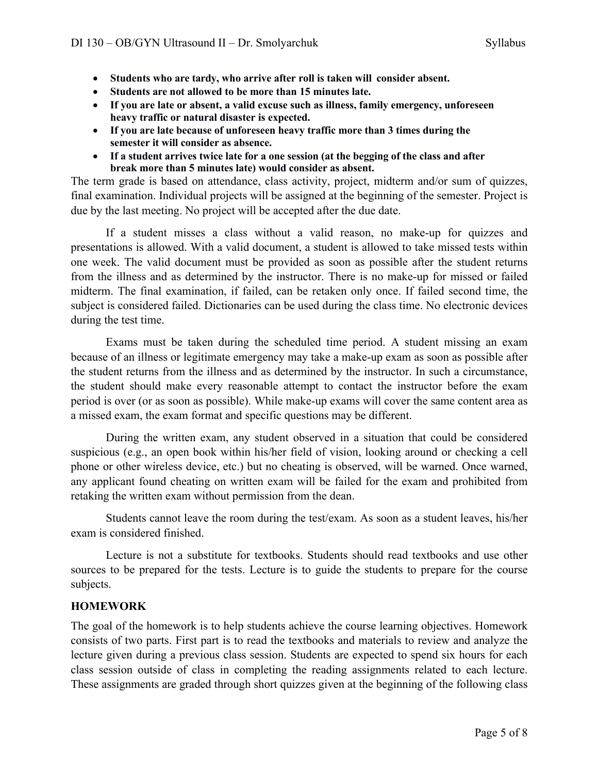- **Students who are tardy, who arrive after roll is taken will consider absent.**
- **Students are not allowed to be more than 15 minutes late.**
- **If you are late or absent, a valid excuse such as illness, family emergency, unforeseen heavy traffic or natural disaster is expected.**
- **If you are late because of unforeseen heavy traffic more than 3 times during the semester it will consider as absence.**
- **If a student arrives twice late for a one session (at the begging of the class and after break more than 5 minutes late) would consider as absent.**

The term grade is based on attendance, class activity, project, midterm and/or sum of quizzes, final examination. Individual projects will be assigned at the beginning of the semester. Project is due by the last meeting. No project will be accepted after the due date.

If a student misses a class without a valid reason, no make-up for quizzes and presentations is allowed. With a valid document, a student is allowed to take missed tests within one week. The valid document must be provided as soon as possible after the student returns from the illness and as determined by the instructor. There is no make-up for missed or failed midterm. The final examination, if failed, can be retaken only once. If failed second time, the subject is considered failed. Dictionaries can be used during the class time. No electronic devices during the test time.

Exams must be taken during the scheduled time period. A student missing an exam because of an illness or legitimate emergency may take a make-up exam as soon as possible after the student returns from the illness and as determined by the instructor. In such a circumstance, the student should make every reasonable attempt to contact the instructor before the exam period is over (or as soon as possible). While make-up exams will cover the same content area as a missed exam, the exam format and specific questions may be different.

During the written exam, any student observed in a situation that could be considered suspicious (e.g., an open book within his/her field of vision, looking around or checking a cell phone or other wireless device, etc.) but no cheating is observed, will be warned. Once warned, any applicant found cheating on written exam will be failed for the exam and prohibited from retaking the written exam without permission from the dean.

Students cannot leave the room during the test/exam. As soon as a student leaves, his/her exam is considered finished.

Lecture is not a substitute for textbooks. Students should read textbooks and use other sources to be prepared for the tests. Lecture is to guide the students to prepare for the course subjects.

#### **HOMEWORK**

The goal of the homework is to help students achieve the course learning objectives. Homework consists of two parts. First part is to read the textbooks and materials to review and analyze the lecture given during a previous class session. Students are expected to spend six hours for each class session outside of class in completing the reading assignments related to each lecture. These assignments are graded through short quizzes given at the beginning of the following class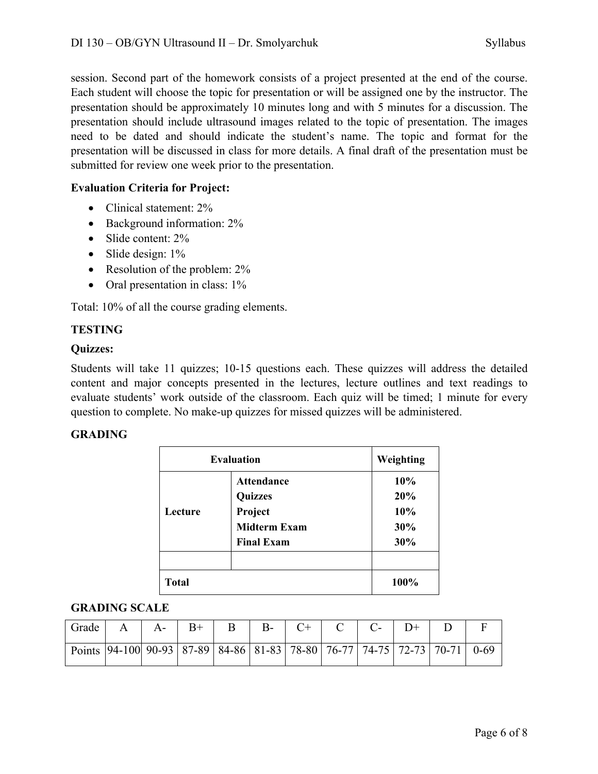session. Second part of the homework consists of a project presented at the end of the course. Each student will choose the topic for presentation or will be assigned one by the instructor. The presentation should be approximately 10 minutes long and with 5 minutes for a discussion. The presentation should include ultrasound images related to the topic of presentation. The images need to be dated and should indicate the student's name. The topic and format for the presentation will be discussed in class for more details. A final draft of the presentation must be submitted for review one week prior to the presentation.

#### **Evaluation Criteria for Project:**

- Clinical statement: 2%
- Background information:  $2\%$
- Slide content: 2%
- Slide design: 1%
- Resolution of the problem:  $2\%$
- Oral presentation in class: 1%

Total: 10% of all the course grading elements.

#### **TESTING**

#### **Quizzes:**

Students will take 11 quizzes; 10-15 questions each. These quizzes will address the detailed content and major concepts presented in the lectures, lecture outlines and text readings to evaluate students' work outside of the classroom. Each quiz will be timed; 1 minute for every question to complete. No make-up quizzes for missed quizzes will be administered.

#### **GRADING**

| <b>Evaluation</b> | Weighting           |      |
|-------------------|---------------------|------|
|                   | <b>Attendance</b>   | 10%  |
|                   | <b>Quizzes</b>      | 20%  |
| Lecture           | Project             | 10%  |
|                   | <b>Midterm Exam</b> | 30%  |
|                   | <b>Final Exam</b>   | 30%  |
|                   |                     |      |
| <b>Total</b>      |                     | 100% |

#### **GRADING SCALE**

| Grade                                                                                          |  | $A \mid A -   B +  $ |  | B   B-   C+   C   C-   D+ |  |  |
|------------------------------------------------------------------------------------------------|--|----------------------|--|---------------------------|--|--|
| Points   94-100   90-93   87-89   84-86   81-83   78-80   76-77   74-75   72-73   70-71   0-69 |  |                      |  |                           |  |  |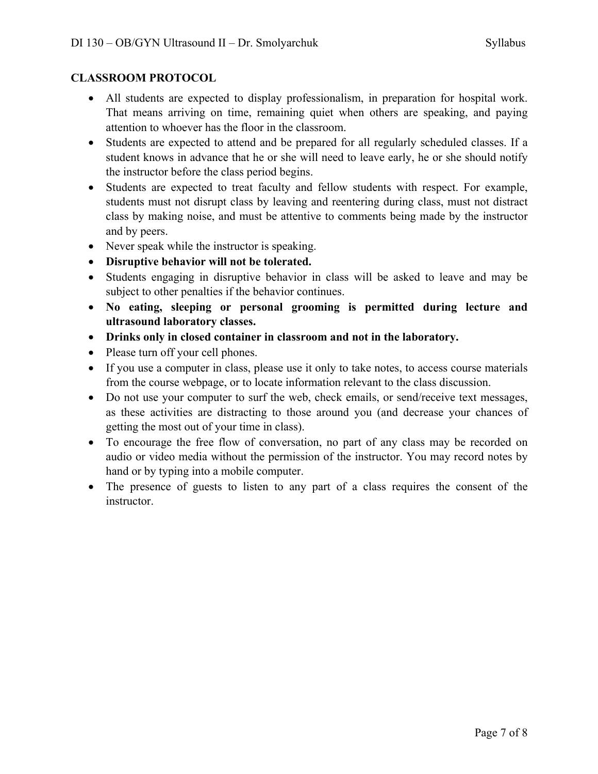#### **CLASSROOM PROTOCOL**

- All students are expected to display professionalism, in preparation for hospital work. That means arriving on time, remaining quiet when others are speaking, and paying attention to whoever has the floor in the classroom.
- Students are expected to attend and be prepared for all regularly scheduled classes. If a student knows in advance that he or she will need to leave early, he or she should notify the instructor before the class period begins.
- Students are expected to treat faculty and fellow students with respect. For example, students must not disrupt class by leaving and reentering during class, must not distract class by making noise, and must be attentive to comments being made by the instructor and by peers.
- Never speak while the instructor is speaking.
- **Disruptive behavior will not be tolerated.**
- Students engaging in disruptive behavior in class will be asked to leave and may be subject to other penalties if the behavior continues.
- **No eating, sleeping or personal grooming is permitted during lecture and ultrasound laboratory classes.**
- **Drinks only in closed container in classroom and not in the laboratory.**
- Please turn off your cell phones.
- If you use a computer in class, please use it only to take notes, to access course materials from the course webpage, or to locate information relevant to the class discussion.
- Do not use your computer to surf the web, check emails, or send/receive text messages, as these activities are distracting to those around you (and decrease your chances of getting the most out of your time in class).
- To encourage the free flow of conversation, no part of any class may be recorded on audio or video media without the permission of the instructor. You may record notes by hand or by typing into a mobile computer.
- The presence of guests to listen to any part of a class requires the consent of the instructor.